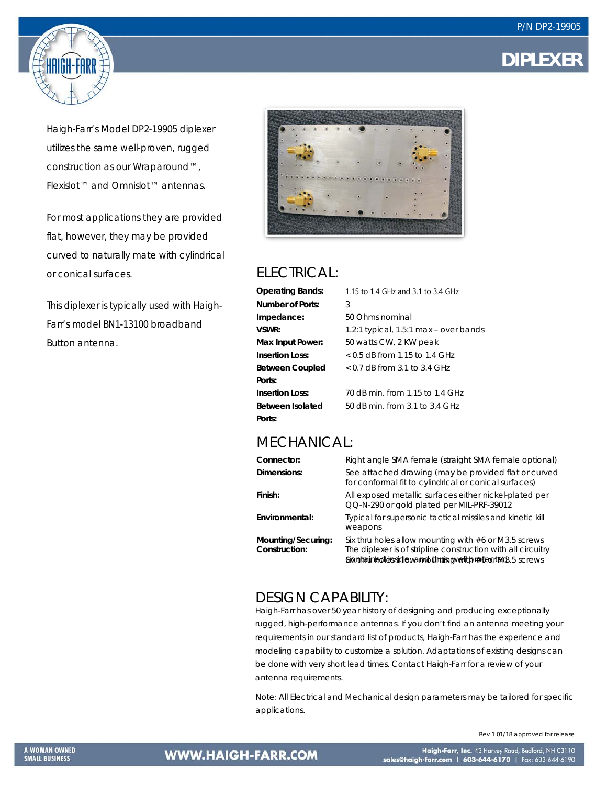



Haigh-Farr's Model DP2-19905 diplexer utilizes the same well-proven, rugged construction as our Wraparound™, Flexislot™ and Omnislot™ antennas.

For most applications they are provided flat, however, they may be provided curved to naturally mate with cylindrical or conical surfaces.

This diplexer is typically used with Haigh-Farr's model BN1-13100 broadband Button antenna.



### ELECTRICAL:

| <b>Operating Bands:</b> | 1.15 to 1.4 GHz and 3.1 to 3.4 GHz    |
|-------------------------|---------------------------------------|
| Number of Ports:        | 3                                     |
| Impedance:              | 50 Ohms nominal                       |
| VSWR:                   | 1.2:1 typical, 1.5:1 max – over bands |
| Max Input Power:        | 50 watts CW, 2 KW peak                |
| Insertion Loss:         | $<$ 0.5 dB from 1.15 to 1.4 GHz       |
| <b>Between Coupled</b>  | $< 0.7$ dB from 3.1 to 3.4 GHz        |
| Ports:                  |                                       |
| <b>Insertion Loss:</b>  | 70 dB min. from 1.15 to 1.4 GHz       |
| Between Isolated        | 50 dB min. from 3.1 to 3.4 GHz        |
| Ports:                  |                                       |

#### MECHANICAL:

| Right angle SMA female (straight SMA female optional)                                                                                                                                        |
|----------------------------------------------------------------------------------------------------------------------------------------------------------------------------------------------|
| See attached drawing (may be provided flat or curved<br>for conformal fit to cylindrical or conical surfaces)                                                                                |
| All exposed metallic surfaces either nickel-plated per<br>QQ-N-290 or gold plated per MIL-PRF-39012                                                                                          |
| Typical for supersonic tactical missiles and kinetic kill<br>weapons                                                                                                                         |
| Six thru holes allow mounting with $#6$ or M3.5 screws<br>The diplexer is of stripline construction with all circuitry<br>Signthainted essed le y amount thus avely to resear to 13.5 screws |
|                                                                                                                                                                                              |

### DESIGN CAPABILITY:

Haigh-Farr has over 50 year history of designing and producing exceptionally rugged, high-performance antennas. If you don't find an antenna meeting your requirements in our standard list of products, Haigh-Farr has the experience and modeling capability to customize a solution. Adaptations of existing designs can be done with very short lead times. Contact Haigh-Farr for a review of your antenna requirements.

Note: All Electrical and Mechanical design parameters may be tailored for specific applications.

Rev 1 01/18 approved for release